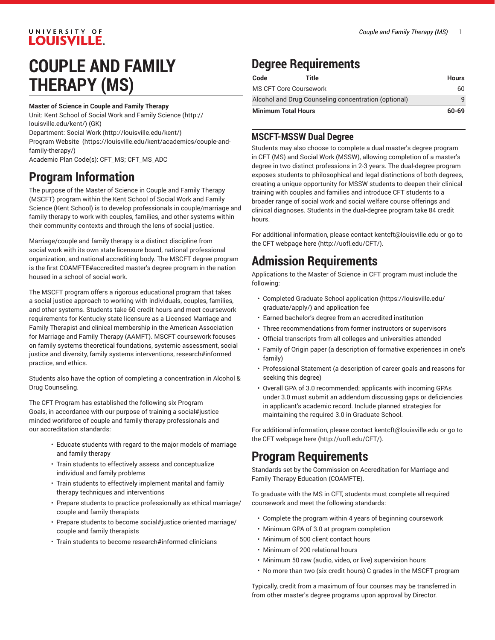### UNIVERSITY OF **LOUISVILLE.**

# **COUPLE AND FAMILY THERAPY (MS)**

#### **Master of Science in Couple and Family Therapy**

Unit: Kent School of Social Work and Family [Science \(http://](http://louisville.edu/kent/) [louisville.edu/kent/](http://louisville.edu/kent/)) (GK) Department: [Social](http://louisville.edu/kent/) Work (<http://louisville.edu/kent/>) Program [Website \(https://louisville.edu/kent/academics/couple-and](https://louisville.edu/kent/academics/couple-and-family-therapy/)[family-therapy/\)](https://louisville.edu/kent/academics/couple-and-family-therapy/)

Academic Plan Code(s): CFT\_MS; CFT\_MS\_ADC

### **Program Information**

The purpose of the Master of Science in Couple and Family Therapy (MSCFT) program within the Kent School of Social Work and Family Science (Kent School) is to develop professionals in couple/marriage and family therapy to work with couples, families, and other systems within their community contexts and through the lens of social justice.

Marriage/couple and family therapy is a distinct discipline from social work with its own state licensure board, national professional organization, and national accrediting body. The MSCFT degree program is the first COAMFTE#accredited master's degree program in the nation housed in a school of social work.

The MSCFT program offers a rigorous educational program that takes a social justice approach to working with individuals, couples, families, and other systems. Students take 60 credit hours and meet coursework requirements for Kentucky state licensure as a Licensed Marriage and Family Therapist and clinical membership in the American Association for Marriage and Family Therapy (AAMFT). MSCFT coursework focuses on family systems theoretical foundations, systemic assessment, social justice and diversity, family systems interventions, research#informed practice, and ethics.

Students also have the option of completing a concentration in Alcohol & Drug Counseling.

The CFT Program has established the following six Program Goals, in accordance with our purpose of training a social#justice minded workforce of couple and family therapy professionals and our accreditation standards:

- Educate students with regard to the major models of marriage and family therapy
- Train students to effectively assess and conceptualize individual and family problems
- Train students to effectively implement marital and family therapy techniques and interventions
- Prepare students to practice professionally as ethical marriage/ couple and family therapists
- Prepare students to become social#justice oriented marriage/ couple and family therapists
- Train students to become research#informed clinicians

# **Degree Requirements**

| Code                                                 | Title | <b>Hours</b> |
|------------------------------------------------------|-------|--------------|
| MS CFT Core Coursework                               |       | 60           |
| Alcohol and Drug Counseling concentration (optional) | q     |              |
| <b>Minimum Total Hours</b>                           |       | 60-69        |

#### **MSCFT-MSSW Dual Degree**

Students may also choose to complete a dual master's degree program in CFT (MS) and Social Work (MSSW), allowing completion of a master's degree in two distinct professions in 2-3 years. The dual-degree program exposes students to philosophical and legal distinctions of both degrees, creating a unique opportunity for MSSW students to deepen their clinical training with couples and families and introduce CFT students to a broader range of social work and social welfare course offerings and clinical diagnoses. Students in the dual-degree program take 84 credit hours.

For additional information, please contact [kentcft@louisville.edu](mailto:kentcft@louisville.edu) or go to the CFT webpage [here \(http://uofl.edu/CFT/\)](http://uofl.edu/CFT/).

## **Admission Requirements**

Applications to the Master of Science in CFT program must include the following:

- Completed [Graduate School application](https://louisville.edu/graduate/apply/) ([https://louisville.edu/](https://louisville.edu/graduate/apply/) [graduate/apply/\)](https://louisville.edu/graduate/apply/) and application fee
- Earned bachelor's degree from an accredited institution
- Three recommendations from former instructors or supervisors
- Official transcripts from all colleges and universities attended
- Family of Origin paper (a description of formative experiences in one's family)
- Professional Statement (a description of career goals and reasons for seeking this degree)
- Overall GPA of 3.0 recommended; applicants with incoming GPAs under 3.0 must submit an addendum discussing gaps or deficiencies in applicant's academic record. Include planned strategies for maintaining the required 3.0 in Graduate School.

For additional information, please contact [kentcft@louisville.edu](mailto:kentcft@louisville.edu) or go to the CFT webpage [here \(http://uofl.edu/CFT/\)](http://uofl.edu/CFT/).

### **Program Requirements**

Standards set by the Commission on Accreditation for Marriage and Family Therapy Education (COAMFTE).

To graduate with the MS in CFT, students must complete all required coursework and meet the following standards:

- Complete the program within 4 years of beginning coursework
- Minimum GPA of 3.0 at program completion
- Minimum of 500 client contact hours
- Minimum of 200 relational hours
- Minimum 50 raw (audio, video, or live) supervision hours
- No more than two (six credit hours) C grades in the MSCFT program

Typically, credit from a maximum of four courses may be transferred in from other master's degree programs upon approval by Director.